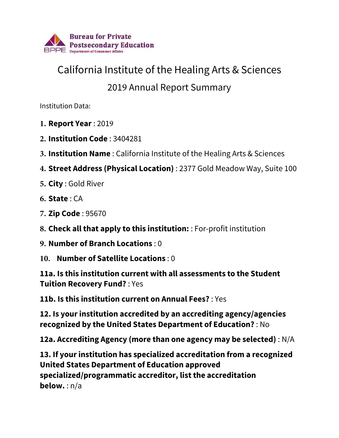

## California Institute of the Healing Arts & Sciences

## 2019 Annual Report Summary

Institution Data:

- **1. Report Year** : 2019
- **2. Institution Code** : 3404281
- **3. Institution Name** : California Institute of the Healing Arts & Sciences
- **4. Street Address (Physical Location)** : 2377 Gold Meadow Way, Suite 100
- **5. City** : Gold River
- **6. State** : CA
- **7. Zip Code** : 95670
- **8. Check all that apply to this institution:** : For-profit institution
- **9. Number of Branch Locations** : 0
- **10. Number of Satellite Locations** : 0

**11a. Is this institution current with all assessments to the Student Tuition Recovery Fund?** : Yes

**11b. Is this institution current on Annual Fees?** : Yes

**12. Is your institution accredited by an accrediting agency/agencies recognized by the United States Department of Education?** : No

**12a. Accrediting Agency (more than one agency may be selected)** : N/A

**13. If your institution has specialized accreditation from a recognized United States Department of Education approved specialized/programmatic accreditor, list the accreditation below.** : n/a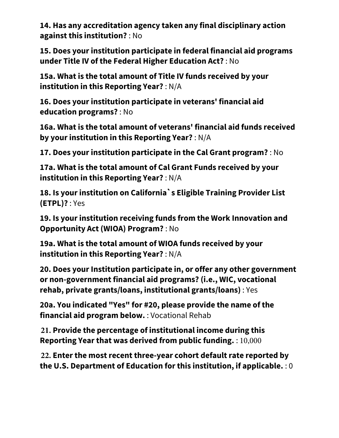**14. Has any accreditation agency taken any final disciplinary action against this institution?** : No

**15. Does your institution participate in federal financial aid programs under Title IV of the Federal Higher Education Act?** : No

**15a. What is the total amount of Title IV funds received by your institution in this Reporting Year?** : N/A

**16. Does your institution participate in veterans' financial aid education programs?** : No

**16a. What is the total amount of veterans' financial aid funds received by your institution in this Reporting Year?** : N/A

**17. Does your institution participate in the Cal Grant program?** : No

**17a. What is the total amount of Cal Grant Funds received by your institution in this Reporting Year?** : N/A

**18. Is your institution on California`s Eligible Training Provider List (ETPL)?** : Yes

**19. Is your institution receiving funds from the Work Innovation and Opportunity Act (WIOA) Program?** : No

**19a. What is the total amount of WIOA funds received by your institution in this Reporting Year?** : N/A

**20. Does your Institution participate in, or offer any other government or non-government financial aid programs? (i.e., WIC, vocational rehab, private grants/loans, institutional grants/loans)** : Yes

**20a. You indicated "Yes" for #20, please provide the name of the financial aid program below.** : Vocational Rehab

**21. Provide the percentage of institutional income during this Reporting Year that was derived from public funding.** : 10,000

**22. Enter the most recent three-year cohort default rate reported by the U.S. Department of Education for this institution, if applicable.** : 0